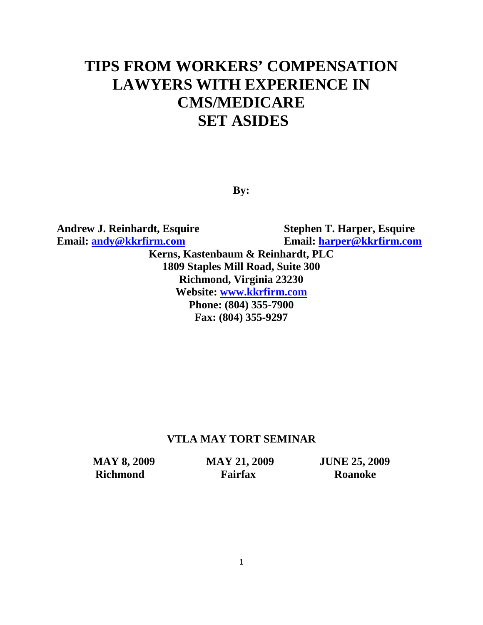# **TIPS FROM WORKERS' COMPENSATION LAWYERS WITH EXPERIENCE IN CMS/MEDICARE SET ASIDES**

**By:** 

**Andrew J. Reinhardt, Esquire Stephen T. Harper, Esquire Email: [andy@kkrfirm.com](mailto:andy@kkrfirm.com) Email: [harper@kkrfirm.com](mailto:harper@kkrfirm.com) Kerns, Kastenbaum & Reinhardt, PLC 1809 Staples Mill Road, Suite 300**

**Richmond, Virginia 23230 Website: [www.kkrfirm.com](http://www.kkrfirm.com/) Phone: (804) 355-7900 Fax: (804) 355-9297**

## **VTLA MAY TORT SEMINAR**

**Richmond Fairfax Roanoke** 

**MAY 8, 2009 MAY 21, 2009 JUNE 25, 2009**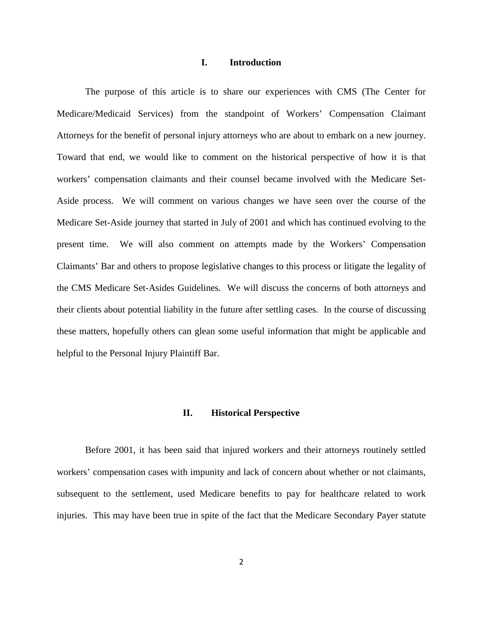#### **I. Introduction**

The purpose of this article is to share our experiences with CMS (The Center for Medicare/Medicaid Services) from the standpoint of Workers' Compensation Claimant Attorneys for the benefit of personal injury attorneys who are about to embark on a new journey. Toward that end, we would like to comment on the historical perspective of how it is that workers' compensation claimants and their counsel became involved with the Medicare Set-Aside process. We will comment on various changes we have seen over the course of the Medicare Set-Aside journey that started in July of 2001 and which has continued evolving to the present time. We will also comment on attempts made by the Workers' Compensation Claimants' Bar and others to propose legislative changes to this process or litigate the legality of the CMS Medicare Set-Asides Guidelines. We will discuss the concerns of both attorneys and their clients about potential liability in the future after settling cases. In the course of discussing these matters, hopefully others can glean some useful information that might be applicable and helpful to the Personal Injury Plaintiff Bar.

#### **II. Historical Perspective**

Before 2001, it has been said that injured workers and their attorneys routinely settled workers' compensation cases with impunity and lack of concern about whether or not claimants, subsequent to the settlement, used Medicare benefits to pay for healthcare related to work injuries. This may have been true in spite of the fact that the Medicare Secondary Payer statute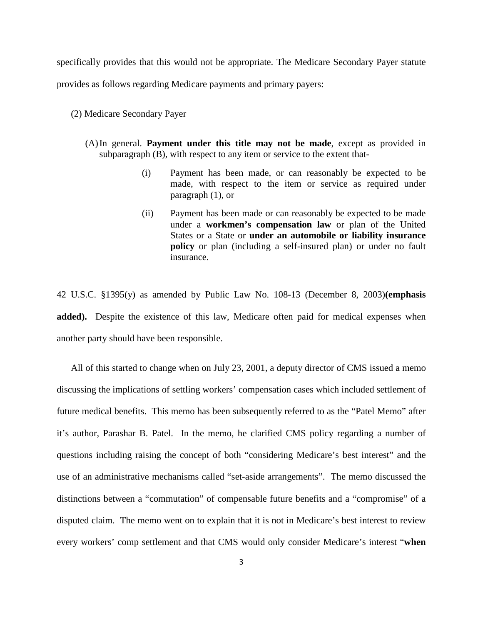specifically provides that this would not be appropriate. The Medicare Secondary Payer statute

provides as follows regarding Medicare payments and primary payers:

- (2) Medicare Secondary Payer
	- (A)In general. **Payment under this title may not be made**, except as provided in subparagraph (B), with respect to any item or service to the extent that-
		- (i) Payment has been made, or can reasonably be expected to be made, with respect to the item or service as required under paragraph (1), or
		- (ii) Payment has been made or can reasonably be expected to be made under a **workmen's compensation law** or plan of the United States or a State or **under an automobile or liability insurance policy** or plan (including a self-insured plan) or under no fault insurance.

42 U.S.C. §1395(y) as amended by Public Law No. 108-13 (December 8, 2003)**(emphasis added).** Despite the existence of this law, Medicare often paid for medical expenses when another party should have been responsible.

All of this started to change when on July 23, 2001, a deputy director of CMS issued a memo discussing the implications of settling workers' compensation cases which included settlement of future medical benefits. This memo has been subsequently referred to as the "Patel Memo" after it's author, Parashar B. Patel. In the memo, he clarified CMS policy regarding a number of questions including raising the concept of both "considering Medicare's best interest" and the use of an administrative mechanisms called "set-aside arrangements". The memo discussed the distinctions between a "commutation" of compensable future benefits and a "compromise" of a disputed claim. The memo went on to explain that it is not in Medicare's best interest to review every workers' comp settlement and that CMS would only consider Medicare's interest "**when**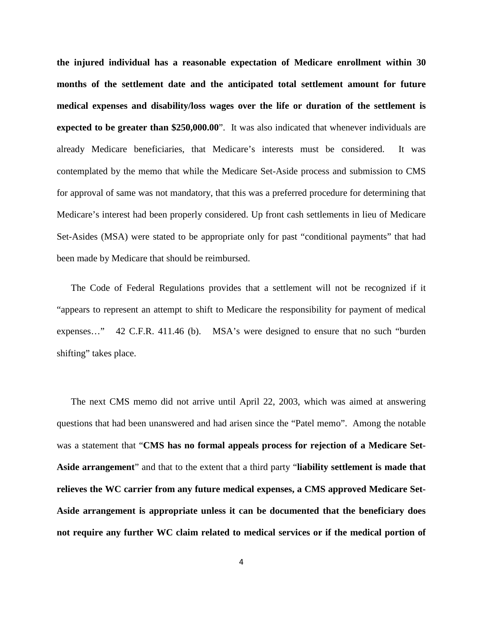**the injured individual has a reasonable expectation of Medicare enrollment within 30 months of the settlement date and the anticipated total settlement amount for future medical expenses and disability/loss wages over the life or duration of the settlement is expected to be greater than \$250,000.00**". It was also indicated that whenever individuals are already Medicare beneficiaries, that Medicare's interests must be considered. It was contemplated by the memo that while the Medicare Set-Aside process and submission to CMS for approval of same was not mandatory, that this was a preferred procedure for determining that Medicare's interest had been properly considered. Up front cash settlements in lieu of Medicare Set-Asides (MSA) were stated to be appropriate only for past "conditional payments" that had been made by Medicare that should be reimbursed.

The Code of Federal Regulations provides that a settlement will not be recognized if it "appears to represent an attempt to shift to Medicare the responsibility for payment of medical expenses…" 42 C.F.R. 411.46 (b). MSA's were designed to ensure that no such "burden shifting" takes place.

The next CMS memo did not arrive until April 22, 2003, which was aimed at answering questions that had been unanswered and had arisen since the "Patel memo". Among the notable was a statement that "**CMS has no formal appeals process for rejection of a Medicare Set-Aside arrangement**" and that to the extent that a third party "**liability settlement is made that relieves the WC carrier from any future medical expenses, a CMS approved Medicare Set-Aside arrangement is appropriate unless it can be documented that the beneficiary does not require any further WC claim related to medical services or if the medical portion of**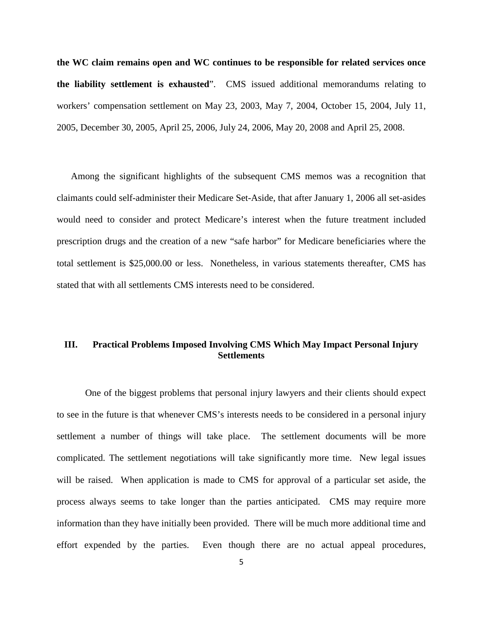**the WC claim remains open and WC continues to be responsible for related services once the liability settlement is exhausted**". CMS issued additional memorandums relating to workers' compensation settlement on May 23, 2003, May 7, 2004, October 15, 2004, July 11, 2005, December 30, 2005, April 25, 2006, July 24, 2006, May 20, 2008 and April 25, 2008.

Among the significant highlights of the subsequent CMS memos was a recognition that claimants could self-administer their Medicare Set-Aside, that after January 1, 2006 all set-asides would need to consider and protect Medicare's interest when the future treatment included prescription drugs and the creation of a new "safe harbor" for Medicare beneficiaries where the total settlement is \$25,000.00 or less. Nonetheless, in various statements thereafter, CMS has stated that with all settlements CMS interests need to be considered.

## **III. Practical Problems Imposed Involving CMS Which May Impact Personal Injury Settlements**

One of the biggest problems that personal injury lawyers and their clients should expect to see in the future is that whenever CMS's interests needs to be considered in a personal injury settlement a number of things will take place. The settlement documents will be more complicated. The settlement negotiations will take significantly more time. New legal issues will be raised. When application is made to CMS for approval of a particular set aside, the process always seems to take longer than the parties anticipated. CMS may require more information than they have initially been provided. There will be much more additional time and effort expended by the parties. Even though there are no actual appeal procedures,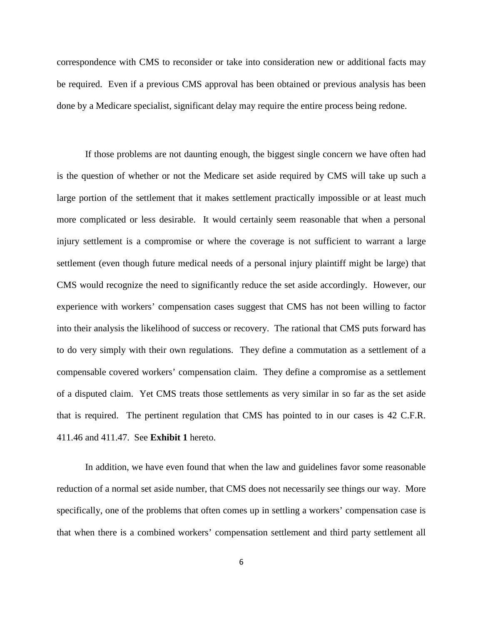correspondence with CMS to reconsider or take into consideration new or additional facts may be required. Even if a previous CMS approval has been obtained or previous analysis has been done by a Medicare specialist, significant delay may require the entire process being redone.

If those problems are not daunting enough, the biggest single concern we have often had is the question of whether or not the Medicare set aside required by CMS will take up such a large portion of the settlement that it makes settlement practically impossible or at least much more complicated or less desirable. It would certainly seem reasonable that when a personal injury settlement is a compromise or where the coverage is not sufficient to warrant a large settlement (even though future medical needs of a personal injury plaintiff might be large) that CMS would recognize the need to significantly reduce the set aside accordingly. However, our experience with workers' compensation cases suggest that CMS has not been willing to factor into their analysis the likelihood of success or recovery. The rational that CMS puts forward has to do very simply with their own regulations. They define a commutation as a settlement of a compensable covered workers' compensation claim. They define a compromise as a settlement of a disputed claim. Yet CMS treats those settlements as very similar in so far as the set aside that is required. The pertinent regulation that CMS has pointed to in our cases is 42 C.F.R. 411.46 and 411.47. See **Exhibit 1** hereto.

In addition, we have even found that when the law and guidelines favor some reasonable reduction of a normal set aside number, that CMS does not necessarily see things our way. More specifically, one of the problems that often comes up in settling a workers' compensation case is that when there is a combined workers' compensation settlement and third party settlement all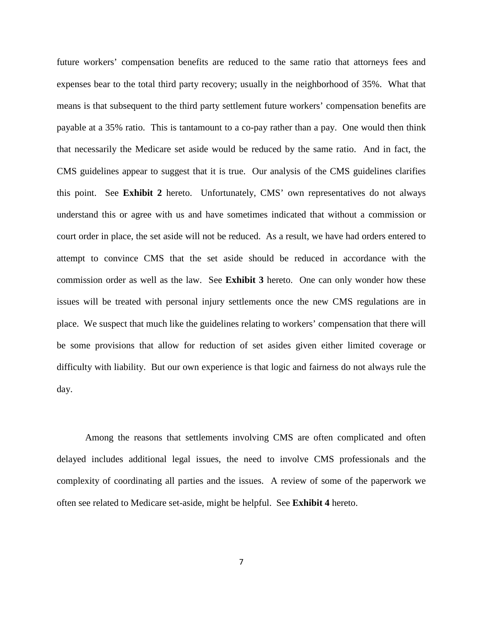future workers' compensation benefits are reduced to the same ratio that attorneys fees and expenses bear to the total third party recovery; usually in the neighborhood of 35%. What that means is that subsequent to the third party settlement future workers' compensation benefits are payable at a 35% ratio. This is tantamount to a co-pay rather than a pay. One would then think that necessarily the Medicare set aside would be reduced by the same ratio. And in fact, the CMS guidelines appear to suggest that it is true. Our analysis of the CMS guidelines clarifies this point. See **Exhibit 2** hereto. Unfortunately, CMS' own representatives do not always understand this or agree with us and have sometimes indicated that without a commission or court order in place, the set aside will not be reduced. As a result, we have had orders entered to attempt to convince CMS that the set aside should be reduced in accordance with the commission order as well as the law. See **Exhibit 3** hereto. One can only wonder how these issues will be treated with personal injury settlements once the new CMS regulations are in place. We suspect that much like the guidelines relating to workers' compensation that there will be some provisions that allow for reduction of set asides given either limited coverage or difficulty with liability. But our own experience is that logic and fairness do not always rule the day.

Among the reasons that settlements involving CMS are often complicated and often delayed includes additional legal issues, the need to involve CMS professionals and the complexity of coordinating all parties and the issues. A review of some of the paperwork we often see related to Medicare set-aside, might be helpful. See **Exhibit 4** hereto.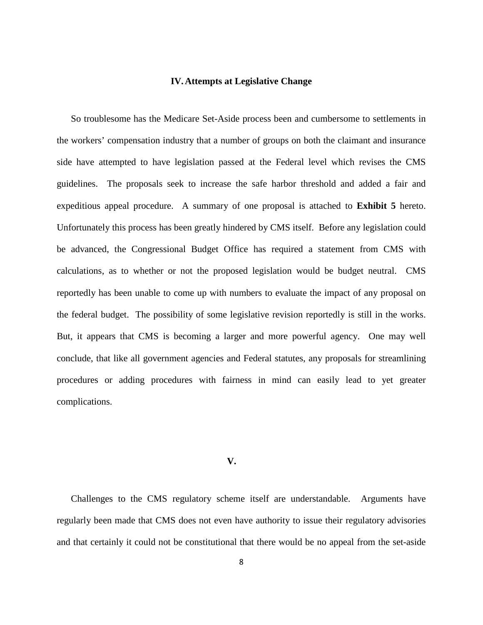#### **IV.Attempts at Legislative Change**

So troublesome has the Medicare Set-Aside process been and cumbersome to settlements in the workers' compensation industry that a number of groups on both the claimant and insurance side have attempted to have legislation passed at the Federal level which revises the CMS guidelines. The proposals seek to increase the safe harbor threshold and added a fair and expeditious appeal procedure. A summary of one proposal is attached to **Exhibit 5** hereto. Unfortunately this process has been greatly hindered by CMS itself. Before any legislation could be advanced, the Congressional Budget Office has required a statement from CMS with calculations, as to whether or not the proposed legislation would be budget neutral. CMS reportedly has been unable to come up with numbers to evaluate the impact of any proposal on the federal budget. The possibility of some legislative revision reportedly is still in the works. But, it appears that CMS is becoming a larger and more powerful agency. One may well conclude, that like all government agencies and Federal statutes, any proposals for streamlining procedures or adding procedures with fairness in mind can easily lead to yet greater complications.

#### **V.**

Challenges to the CMS regulatory scheme itself are understandable. Arguments have regularly been made that CMS does not even have authority to issue their regulatory advisories and that certainly it could not be constitutional that there would be no appeal from the set-aside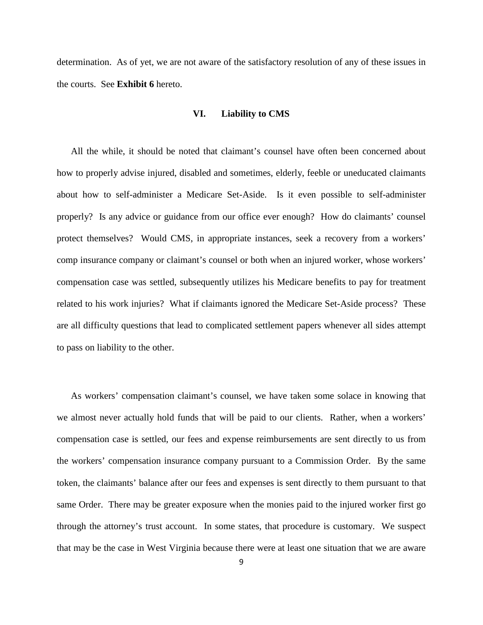determination. As of yet, we are not aware of the satisfactory resolution of any of these issues in the courts. See **Exhibit 6** hereto.

#### **VI. Liability to CMS**

All the while, it should be noted that claimant's counsel have often been concerned about how to properly advise injured, disabled and sometimes, elderly, feeble or uneducated claimants about how to self-administer a Medicare Set-Aside. Is it even possible to self-administer properly? Is any advice or guidance from our office ever enough? How do claimants' counsel protect themselves? Would CMS, in appropriate instances, seek a recovery from a workers' comp insurance company or claimant's counsel or both when an injured worker, whose workers' compensation case was settled, subsequently utilizes his Medicare benefits to pay for treatment related to his work injuries? What if claimants ignored the Medicare Set-Aside process? These are all difficulty questions that lead to complicated settlement papers whenever all sides attempt to pass on liability to the other.

As workers' compensation claimant's counsel, we have taken some solace in knowing that we almost never actually hold funds that will be paid to our clients. Rather, when a workers' compensation case is settled, our fees and expense reimbursements are sent directly to us from the workers' compensation insurance company pursuant to a Commission Order. By the same token, the claimants' balance after our fees and expenses is sent directly to them pursuant to that same Order. There may be greater exposure when the monies paid to the injured worker first go through the attorney's trust account. In some states, that procedure is customary. We suspect that may be the case in West Virginia because there were at least one situation that we are aware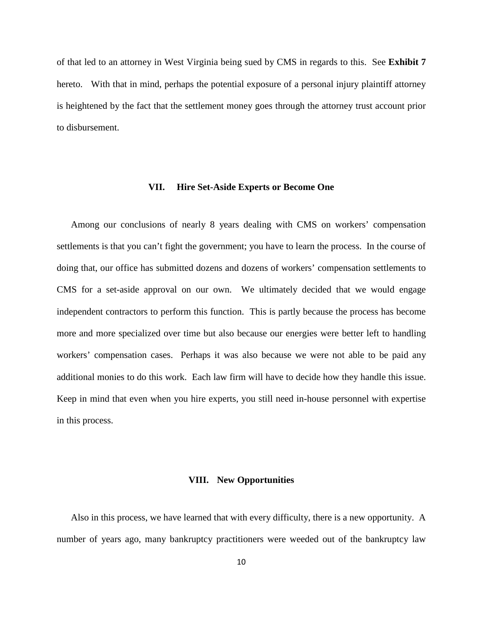of that led to an attorney in West Virginia being sued by CMS in regards to this. See **Exhibit 7** hereto. With that in mind, perhaps the potential exposure of a personal injury plaintiff attorney is heightened by the fact that the settlement money goes through the attorney trust account prior to disbursement.

#### **VII. Hire Set-Aside Experts or Become One**

Among our conclusions of nearly 8 years dealing with CMS on workers' compensation settlements is that you can't fight the government; you have to learn the process. In the course of doing that, our office has submitted dozens and dozens of workers' compensation settlements to CMS for a set-aside approval on our own. We ultimately decided that we would engage independent contractors to perform this function. This is partly because the process has become more and more specialized over time but also because our energies were better left to handling workers' compensation cases. Perhaps it was also because we were not able to be paid any additional monies to do this work. Each law firm will have to decide how they handle this issue. Keep in mind that even when you hire experts, you still need in-house personnel with expertise in this process.

#### **VIII. New Opportunities**

Also in this process, we have learned that with every difficulty, there is a new opportunity. A number of years ago, many bankruptcy practitioners were weeded out of the bankruptcy law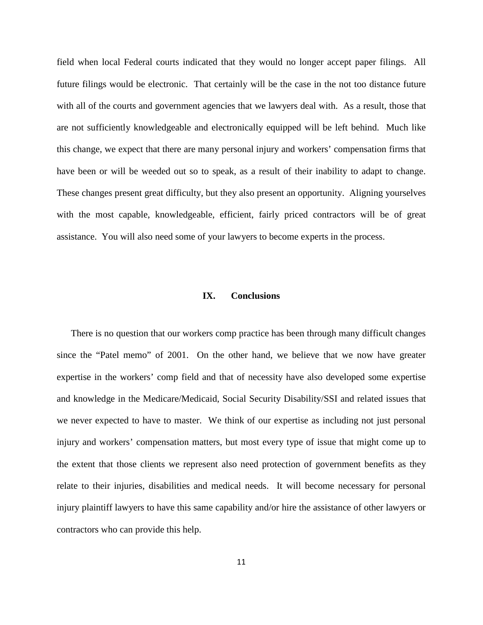field when local Federal courts indicated that they would no longer accept paper filings. All future filings would be electronic. That certainly will be the case in the not too distance future with all of the courts and government agencies that we lawyers deal with. As a result, those that are not sufficiently knowledgeable and electronically equipped will be left behind. Much like this change, we expect that there are many personal injury and workers' compensation firms that have been or will be weeded out so to speak, as a result of their inability to adapt to change. These changes present great difficulty, but they also present an opportunity. Aligning yourselves with the most capable, knowledgeable, efficient, fairly priced contractors will be of great assistance. You will also need some of your lawyers to become experts in the process.

#### **IX. Conclusions**

There is no question that our workers comp practice has been through many difficult changes since the "Patel memo" of 2001. On the other hand, we believe that we now have greater expertise in the workers' comp field and that of necessity have also developed some expertise and knowledge in the Medicare/Medicaid, Social Security Disability/SSI and related issues that we never expected to have to master. We think of our expertise as including not just personal injury and workers' compensation matters, but most every type of issue that might come up to the extent that those clients we represent also need protection of government benefits as they relate to their injuries, disabilities and medical needs. It will become necessary for personal injury plaintiff lawyers to have this same capability and/or hire the assistance of other lawyers or contractors who can provide this help.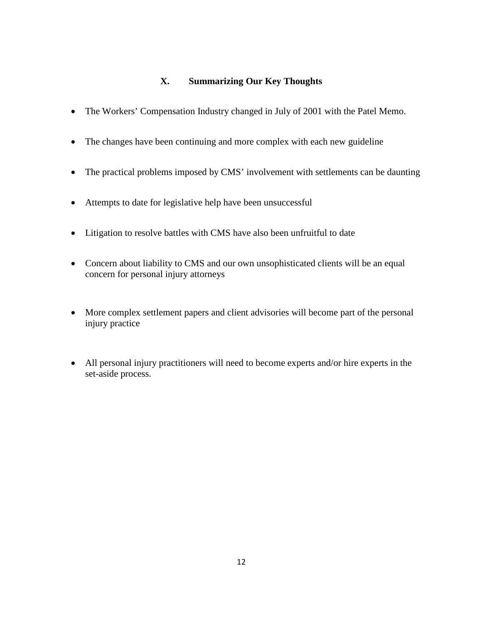### **X. Summarizing Our Key Thoughts**

- The Workers' Compensation Industry changed in July of 2001 with the Patel Memo.
- The changes have been continuing and more complex with each new guideline
- The practical problems imposed by CMS' involvement with settlements can be daunting
- Attempts to date for legislative help have been unsuccessful
- Litigation to resolve battles with CMS have also been unfruitful to date
- Concern about liability to CMS and our own unsophisticated clients will be an equal concern for personal injury attorneys
- More complex settlement papers and client advisories will become part of the personal injury practice
- All personal injury practitioners will need to become experts and/or hire experts in the set-aside process.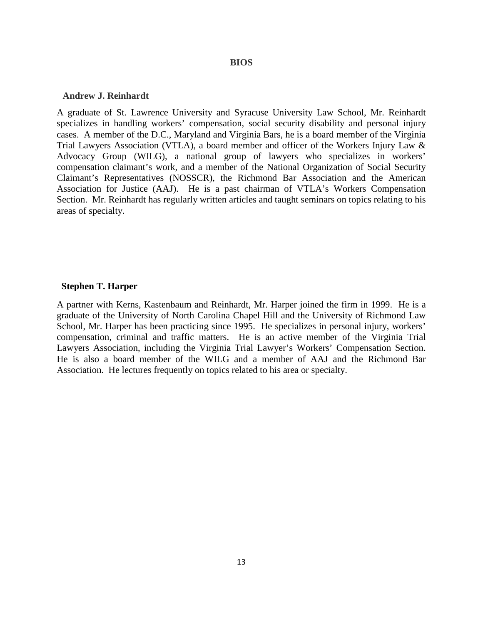#### **BIOS**

#### **Andrew J. Reinhardt**

A graduate of St. Lawrence University and Syracuse University Law School, Mr. Reinhardt specializes in handling workers' compensation, social security disability and personal injury cases. A member of the D.C., Maryland and Virginia Bars, he is a board member of the Virginia Trial Lawyers Association (VTLA), a board member and officer of the Workers Injury Law & Advocacy Group (WILG), a national group of lawyers who specializes in workers' compensation claimant's work, and a member of the National Organization of Social Security Claimant's Representatives (NOSSCR), the Richmond Bar Association and the American Association for Justice (AAJ). He is a past chairman of VTLA's Workers Compensation Section. Mr. Reinhardt has regularly written articles and taught seminars on topics relating to his areas of specialty.

#### **Stephen T. Harper**

A partner with Kerns, Kastenbaum and Reinhardt, Mr. Harper joined the firm in 1999. He is a graduate of the University of North Carolina Chapel Hill and the University of Richmond Law School, Mr. Harper has been practicing since 1995. He specializes in personal injury, workers' compensation, criminal and traffic matters. He is an active member of the Virginia Trial Lawyers Association, including the Virginia Trial Lawyer's Workers' Compensation Section. He is also a board member of the WILG and a member of AAJ and the Richmond Bar Association. He lectures frequently on topics related to his area or specialty.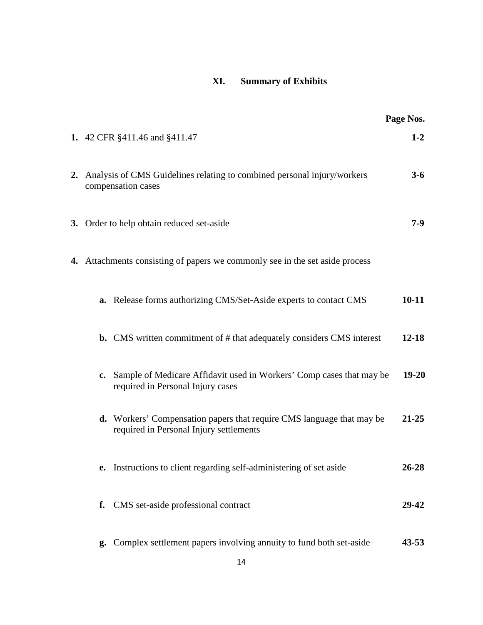# **XI. Summary of Exhibits**

|                                                                                                                            | Page Nos. |
|----------------------------------------------------------------------------------------------------------------------------|-----------|
| 1. 42 CFR §411.46 and §411.47                                                                                              | $1-2$     |
| 2. Analysis of CMS Guidelines relating to combined personal injury/workers<br>compensation cases                           | $3 - 6$   |
| 3. Order to help obtain reduced set-aside                                                                                  | $7-9$     |
| 4. Attachments consisting of papers we commonly see in the set aside process                                               |           |
| <b>a.</b> Release forms authorizing CMS/Set-Aside experts to contact CMS                                                   | $10 - 11$ |
| <b>b.</b> CMS written commitment of # that adequately considers CMS interest                                               | $12 - 18$ |
| Sample of Medicare Affidavit used in Workers' Comp cases that may be<br>$c_{\bullet}$<br>required in Personal Injury cases | $19 - 20$ |
| <b>d.</b> Workers' Compensation papers that require CMS language that may be<br>required in Personal Injury settlements    | $21 - 25$ |
| e. Instructions to client regarding self-administering of set aside                                                        | 26-28     |
| CMS set-aside professional contract<br>f.                                                                                  | 29-42     |
| Complex settlement papers involving annuity to fund both set-aside<br>g.                                                   | $43 - 53$ |